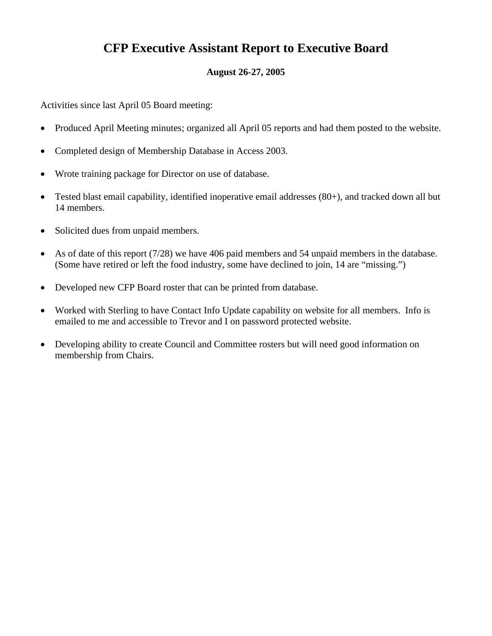## **CFP Executive Assistant Report to Executive Board**

## **August 26-27, 2005**

Activities since last April 05 Board meeting:

- Produced April Meeting minutes; organized all April 05 reports and had them posted to the website.
- Completed design of Membership Database in Access 2003.
- Wrote training package for Director on use of database.
- Tested blast email capability, identified inoperative email addresses (80+), and tracked down all but 14 members.
- Solicited dues from unpaid members.
- As of date of this report (7/28) we have 406 paid members and 54 unpaid members in the database. (Some have retired or left the food industry, some have declined to join, 14 are "missing.")
- Developed new CFP Board roster that can be printed from database.
- Worked with Sterling to have Contact Info Update capability on website for all members. Info is emailed to me and accessible to Trevor and I on password protected website.
- Developing ability to create Council and Committee rosters but will need good information on membership from Chairs.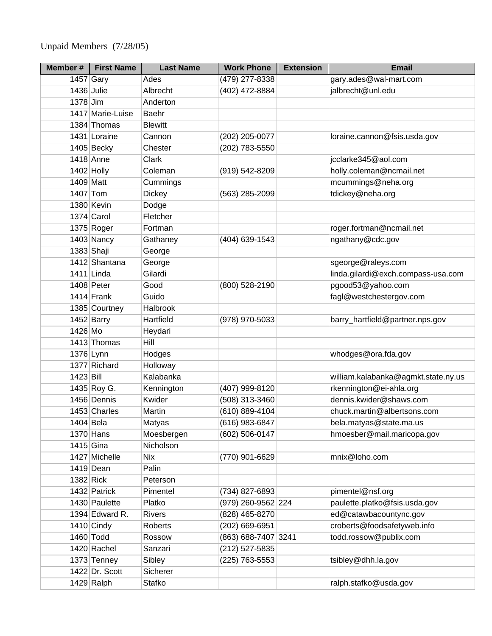Unpaid Members (7/28/05)

| Member #    | <b>First Name</b> | <b>Last Name</b> | <b>Work Phone</b>   | <b>Extension</b> | <b>Email</b>                        |
|-------------|-------------------|------------------|---------------------|------------------|-------------------------------------|
|             | 1457 Gary         | Ades             | (479) 277-8338      |                  | gary.ades@wal-mart.com              |
|             | 1436 Julie        | Albrecht         | (402) 472-8884      |                  | jalbrecht@unl.edu                   |
| $1378$ Jim  |                   | Anderton         |                     |                  |                                     |
|             | 1417 Marie-Luise  | Baehr            |                     |                  |                                     |
|             | 1384 Thomas       | <b>Blewitt</b>   |                     |                  |                                     |
|             | 1431 Loraine      | Cannon           | (202) 205-0077      |                  | loraine.cannon@fsis.usda.gov        |
|             | $1405$ Becky      | Chester          | (202) 783-5550      |                  |                                     |
|             | $1418$ Anne       | <b>Clark</b>     |                     |                  | jcclarke345@aol.com                 |
|             | $1402$ Holly      | Coleman          | (919) 542-8209      |                  | holly.coleman@ncmail.net            |
| 1409 Matt   |                   | Cummings         |                     |                  | mcummings@neha.org                  |
| 1407 Tom    |                   | <b>Dickey</b>    | (563) 285-2099      |                  | tdickey@neha.org                    |
|             | 1380 Kevin        | Dodge            |                     |                  |                                     |
|             | 1374 Carol        | Fletcher         |                     |                  |                                     |
|             | $1375$ Roger      | Fortman          |                     |                  | roger.fortman@ncmail.net            |
|             | $1403$ Nancy      | Gathaney         | (404) 639-1543      |                  | ngathany@cdc.gov                    |
|             | 1383 Shaji        | George           |                     |                  |                                     |
|             | 1412 Shantana     | George           |                     |                  | sgeorge@raleys.com                  |
|             | $1411$ Linda      | Gilardi          |                     |                  | linda.gilardi@exch.compass-usa.com  |
|             | $1408$ Peter      | Good             | (800) 528-2190      |                  | pgood53@yahoo.com                   |
|             | 1414 Frank        | Guido            |                     |                  | fagl@westchestergov.com             |
|             | 1385 Courtney     | Halbrook         |                     |                  |                                     |
|             | $1452$ Barry      | Hartfield        | (978) 970-5033      |                  | barry_hartfield@partner.nps.gov     |
| 1426 Mo     |                   | Heydari          |                     |                  |                                     |
|             | 1413 Thomas       | Hill             |                     |                  |                                     |
|             | 1376 Lynn         | Hodges           |                     |                  | whodges@ora.fda.gov                 |
|             | 1377 Richard      | Holloway         |                     |                  |                                     |
| $1423$ Bill |                   | Kalabanka        |                     |                  | william.kalabanka@agmkt.state.ny.us |
|             | 1435 Roy G.       | Kennington       | (407) 999-8120      |                  | rkennington@ei-ahla.org             |
|             | 1456 Dennis       | Kwider           | (508) 313-3460      |                  | dennis.kwider@shaws.com             |
|             | 1453 Charles      | Martin           | (610) 889-4104      |                  | chuck.martin@albertsons.com         |
|             | 1404 Bela         | Matyas           | (616) 983-6847      |                  | bela.matyas@state.ma.us             |
|             | $1370$ Hans       | Moesbergen       | (602) 506-0147      |                  | hmoesber@mail.maricopa.gov          |
|             | $1415$ Gina       | Nicholson        |                     |                  |                                     |
|             | 1427 Michelle     | <b>Nix</b>       | (770) 901-6629      |                  | mnix@loho.com                       |
|             | 1419 Dean         | Palin            |                     |                  |                                     |
| $1382$ Rick |                   | Peterson         |                     |                  |                                     |
|             | 1432 Patrick      | Pimentel         | (734) 827-6893      |                  | pimentel@nsf.org                    |
|             | 1430 Paulette     | Platko           | (979) 260-9562 224  |                  | paulette.platko@fsis.usda.gov       |
|             | 1394 Edward R.    | <b>Rivers</b>    | (828) 465-8270      |                  | ed@catawbacountync.gov              |
|             | $1410$ Cindy      | <b>Roberts</b>   | (202) 669-6951      |                  | croberts@foodsafetyweb.info         |
|             | 1460 Todd         | Rossow           | (863) 688-7407 3241 |                  | todd.rossow@publix.com              |
|             | 1420 Rachel       | Sanzari          | (212) 527-5835      |                  |                                     |
|             | 1373 Tenney       | Sibley           | (225) 763-5553      |                  | tsibley@dhh.la.gov                  |
|             | 1422 Dr. Scott    | Sicherer         |                     |                  |                                     |
|             | $1429$ Ralph      | Stafko           |                     |                  | ralph.stafko@usda.gov               |